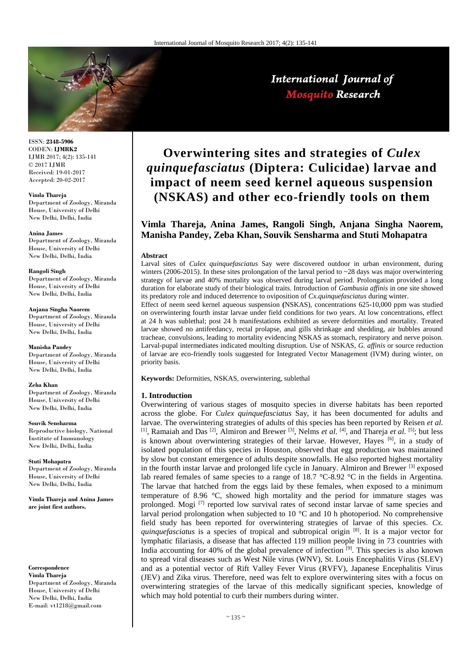

International Journal of **Mosquito Research** 

ISSN: **2348-5906** CODEN: **IJMRK2** IJMR 2017; 4(2): 135-141 © 2017 IJMR Received: 19-01-2017 Accepted: 20-02-2017

**Vimla Thareja**

Department of Zoology, Miranda House, University of Delhi New Delhi, Delhi, India

#### **Anina James**

Department of Zoology, Miranda House, University of Delhi New Delhi, Delhi, India

#### **Rangoli Singh**

Department of Zoology, Miranda House, University of Delhi New Delhi, Delhi, India

**Anjana Singha Naorem** Department of Zoology, Miranda House, University of Delhi New Delhi, Delhi, India

**Manisha Pandey** Department of Zoology, Miranda House, University of Delhi New Delhi, Delhi, India

#### **Zeba Khan**

Department of Zoology, Miranda House, University of Delhi New Delhi, Delhi, India

**Souvik Sensharma** Reproductive biology, National Institute of Immunology New Delhi, Delhi, India

**Stuti Mohapatra** Department of Zoology, Miranda House, University of Delhi

New Delhi, Delhi, India

**Vimla Thareja and Anina James are joint first authors.**

**Correspondence Vimla Thareja**

Department of Zoology, Miranda House, University of Delhi New Delhi, Delhi, India E-mail: vt1218@gmail.com

# **Overwintering sites and strategies of** *Culex quinquefasciatus* **(Diptera: Culicidae) larvae and impact of neem seed kernel aqueous suspension (NSKAS) and other eco-friendly tools on them**

# **Vimla Thareja, Anina James, Rangoli Singh, Anjana Singha Naorem, Manisha Pandey, Zeba Khan, Souvik Sensharma and Stuti Mohapatra**

#### **Abstract**

Larval sites of *Culex quinquefasciatus* Say were discovered outdoor in urban environment, during winters (2006-2015). In these sites prolongation of the larval period to  $\sim$  28 days was major overwintering strategy of larvae and 40% mortality was observed during larval period. Prolongation provided a long duration for elaborate study of their biological traits. Introduction of *Gambusia affinis* in one site showed its predatory role and induced deterrence to oviposition of *Cx.quinquefasciatus* during winter.

Effect of neem seed kernel aqueous suspension **(**NSKAS), concentrations 625-10,000 ppm was studied on overwintering fourth instar larvae under field conditions for two years. At low concentrations, effect at 24 h was sublethal; post 24 h manifestations exhibited as severe deformities and mortality. Treated larvae showed no antifeedancy, rectal prolapse, anal gills shrinkage and shedding, air bubbles around tracheae, convulsions, leading to mortality evidencing NSKAS as stomach, respiratory and nerve poison. Larval-pupal intermediates indicated moulting disruption. Use of NSKAS, *G. affinis* or source reduction of larvae are eco-friendly tools suggested for Integrated Vector Management (IVM) during winter, on priority basis.

**Keywords:** Deformities, NSKAS, overwintering, sublethal

### **1. Introduction**

Overwintering of various stages of mosquito species in diverse habitats has been reported across the globe. For *Culex quinquefasciatus* Say, it has been documented for adults and larvae. The overwintering strategies of adults of this species has been reported by Reisen *et al.* [1], Ramaiah and Das <sup>[2]</sup>, Almiron and Brewer <sup>[3]</sup>, Nelms *et al.* [4], and Thareja *et al.* [5]; but less is known about overwintering strategies of their larvae. However, Hayes <sup>[6]</sup>, in a study of isolated population of this species in Houston, observed that egg production was maintained by slow but constant emergence of adults despite snowfalls. He also reported highest mortality in the fourth instar larvae and prolonged life cycle in January. Almiron and Brewer<sup>[3]</sup> exposed lab reared females of same species to a range of 18.7 °C-8.92 °C in the fields in Argentina. The larvae that hatched from the eggs laid by these females, when exposed to a minimum temperature of 8.96 °C, showed high mortality and the period for immature stages was prolonged. Mogi [7] reported low survival rates of second instar larvae of same species and larval period prolongation when subjected to 10 °C and 10 h photoperiod. No comprehensive field study has been reported for overwintering strategies of larvae of this species. *Cx. quinquefasciatus* is a species of tropical and subtropical origin [8]. It is a major vector for lymphatic filariasis, a disease that has affected 119 million people living in 73 countries with India accounting for 40% of the global prevalence of infection  $[9]$ . This species is also known to spread viral diseases such as West Nile virus (WNV), St. Louis Encephalitis Virus (SLEV) and as a potential vector of Rift Valley Fever Virus (RVFV), Japanese Encephalitis Virus (JEV) and Zika virus. Therefore, need was felt to explore overwintering sites with a focus on overwintering strategies of the larvae of this medically significant species, knowledge of which may hold potential to curb their numbers during winter.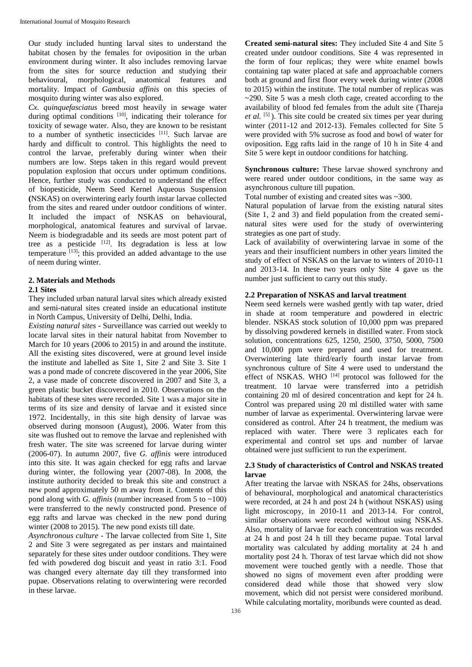Our study included hunting larval sites to understand the habitat chosen by the females for oviposition in the urban environment during winter. It also includes removing larvae from the sites for source reduction and studying their behavioural, morphological, anatomical features and mortality. Impact of *Gambusia affinis* on this species of mosquito during winter was also explored.

*Cx. quinquefasciatus* breed most heavily in sewage water during optimal conditions [10], indicating their tolerance for toxicity of sewage water. Also, they are known to be resistant to a number of synthetic insecticides [11]. Such larvae are hardy and difficult to control. This highlights the need to control the larvae, preferably during winter when their numbers are low. Steps taken in this regard would prevent population explosion that occurs under optimum conditions. Hence, further study was conducted to understand the effect of biopesticide, Neem Seed Kernel Aqueous Suspension **(**NSKAS) on overwintering early fourth instar larvae collected from the sites and reared under outdoor conditions of winter. It included the impact of NSKAS on behavioural, morphological, anatomical features and survival of larvae. Neem is biodegradable and its seeds are most potent part of tree as a pesticide  $[12]$ . Its degradation is less at low temperature  $[13]$ ; this provided an added advantage to the use of neem during winter.

## **2. Materials and Methods**

### **2.1 Sites**

They included urban natural larval sites which already existed and semi-natural sites created inside an educational institute in North Campus, University of Delhi, Delhi, India.

*Existing natural sites* - Surveillance was carried out weekly to locate larval sites in their natural habitat from November to March for 10 years (2006 to 2015) in and around the institute. All the existing sites discovered, were at ground level inside the institute and labelled as Site 1, Site 2 and Site 3. Site 1 was a pond made of concrete discovered in the year 2006, Site 2, a vase made of concrete discovered in 2007 and Site 3, a green plastic bucket discovered in 2010. Observations on the habitats of these sites were recorded. Site 1 was a major site in terms of its size and density of larvae and it existed since 1972. Incidentally, in this site high density of larvae was observed during monsoon (August), 2006. Water from this site was flushed out to remove the larvae and replenished with fresh water. The site was screened for larvae during winter (2006-07). In autumn 2007, five *G. affinis* were introduced into this site. It was again checked for egg rafts and larvae during winter, the following year (2007-08). In 2008, the institute authority decided to break this site and construct a new pond approximately 50 m away from it. Contents of this pond along with *G. affinis* (number increased from 5 to ~100) were transferred to the newly constructed pond. Presence of egg rafts and larvae was checked in the new pond during winter (2008 to 2015). The new pond exists till date.

*Asynchronous culture -* The larvae collected from Site 1, Site 2 and Site 3 were segregated as per instars and maintained separately for these sites under outdoor conditions. They were fed with powdered dog biscuit and yeast in ratio 3:1. Food was changed every alternate day till they transformed into pupae. Observations relating to overwintering were recorded in these larvae.

**Created semi-natural sites:** They included Site 4 and Site 5 created under outdoor conditions. Site 4 was represented in the form of four replicas; they were white enamel bowls containing tap water placed at safe and approachable corners both at ground and first floor every week during winter (2008 to 2015) within the institute. The total number of replicas was ~290. Site 5 was a mesh cloth cage, created according to the availability of blood fed females from the adult site (Thareja *et al.* [5] ). This site could be created six times per year during winter (2011-12 and 2012-13). Females collected for Site 5 were provided with 5% sucrose as food and bowl of water for oviposition. Egg rafts laid in the range of 10 h in Site 4 and Site 5 were kept in outdoor conditions for hatching.

**Synchronous culture:** These larvae showed synchrony and were reared under outdoor conditions, in the same way as asynchronous culture till pupation.

Total number of existing and created sites was ~300.

Natural population of larvae from the existing natural sites (Site 1, 2 and 3) and field population from the created seminatural sites were used for the study of overwintering strategies as one part of study.

Lack of availability of overwintering larvae in some of the years and their insufficient numbers in other years limited the study of effect of NSKAS on the larvae to winters of 2010-11 and 2013-14. In these two years only Site 4 gave us the number just sufficient to carry out this study.

## **2.2 Preparation of NSKAS and larval treatment**

Neem seed kernels were washed gently with tap water, dried in shade at room temperature and powdered in electric blender. NSKAS stock solution of 10,000 ppm was prepared by dissolving powdered kernels in distilled water. From stock solution, concentrations 625, 1250, 2500, 3750, 5000, 7500 and 10,000 ppm were prepared and used for treatment. Overwintering late third/early fourth instar larvae from synchronous culture of Site 4 were used to understand the effect of NSKAS. WHO [14] protocol was followed for the treatment. 10 larvae were transferred into a petridish containing 20 ml of desired concentration and kept for 24 h. Control was prepared using 20 ml distilled water with same number of larvae as experimental. Overwintering larvae were considered as control. After 24 h treatment, the medium was replaced with water. There were 3 replicates each for experimental and control set ups and number of larvae obtained were just sufficient to run the experiment.

# **2.3 Study of characteristics of Control and NSKAS treated larvae**

After treating the larvae with NSKAS for 24hs, observations of behavioural, morphological and anatomical characteristics were recorded, at 24 h and post 24 h (without NSKAS) using light microscopy, in 2010-11 and 2013-14. For control, similar observations were recorded without using NSKAS. Also, mortality of larvae for each concentration was recorded at 24 h and post 24 h till they became pupae. Total larval mortality was calculated by adding mortality at 24 h and mortality post 24 h. Thorax of test larvae which did not show movement were touched gently with a needle. Those that showed no signs of movement even after prodding were considered dead while those that showed very slow movement, which did not persist were considered moribund. While calculating mortality, moribunds were counted as dead.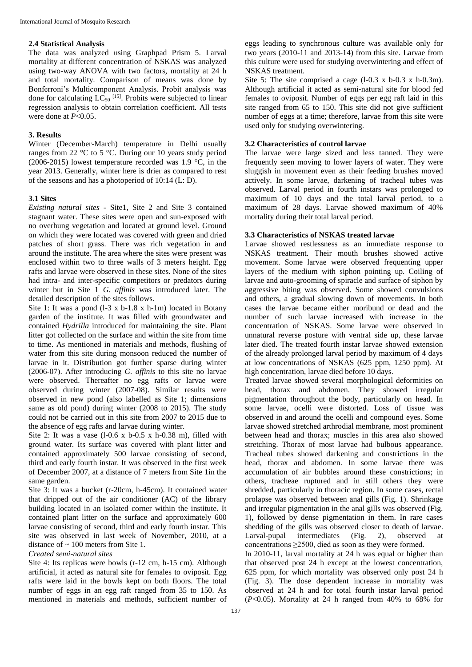#### **2.4 Statistical Analysis**

The data was analyzed using Graphpad Prism 5. Larval mortality at different concentration of NSKAS was analyzed using two-way ANOVA with two factors, mortality at 24 h and total mortality. Comparison of means was done by Bonferroni's Multicomponent Analysis. Probit analysis was done for calculating  $LC_{50}$  <sup>[15]</sup>. Probits were subjected to linear regression analysis to obtain correlation coefficient. All tests were done at *P*<0.05.

### **3. Results**

Winter (December-March) temperature in Delhi usually ranges from 22 °C to 5 °C. During our 10 years study period (2006-2015) lowest temperature recorded was 1.9 °C, in the year 2013. Generally, winter here is drier as compared to rest of the seasons and has a photoperiod of 10:14 (L: D).

#### **3.1 Sites**

*Existing natural sites -* Site1, Site 2 and Site 3 contained stagnant water. These sites were open and sun-exposed with no overhung vegetation and located at ground level. Ground on which they were located was covered with green and dried patches of short grass. There was rich vegetation in and around the institute. The area where the sites were present was enclosed within two to three walls of 3 meters height. Egg rafts and larvae were observed in these sites. None of the sites had intra- and inter-specific competitors or predators during winter but in Site 1 *G. affinis* was introduced later. The detailed description of the sites follows.

Site 1: It was a pond (l-3 x b-1.8 x h-1m) located in Botany garden of the institute. It was filled with groundwater and contained *Hydrilla* introduced for maintaining the site. Plant litter got collected on the surface and within the site from time to time. As mentioned in materials and methods, flushing of water from this site during monsoon reduced the number of larvae in it. Distribution got further sparse during winter (2006-07). After introducing *G. affinis* to this site no larvae were observed. Thereafter no egg rafts or larvae were observed during winter (2007-08). Similar results were observed in new pond (also labelled as Site 1; dimensions same as old pond) during winter (2008 to 2015). The study could not be carried out in this site from 2007 to 2015 due to the absence of egg rafts and larvae during winter.

Site 2: It was a vase  $(1-0.6 \times b-0.5 \times h-0.38 \text{ m})$ , filled with ground water. Its surface was covered with plant litter and contained approximately 500 larvae consisting of second, third and early fourth instar. It was observed in the first week of December 2007, at a distance of 7 meters from Site 1in the same garden.

Site 3: It was a bucket (r-20cm, h-45cm). It contained water that dripped out of the air conditioner (AC) of the library building located in an isolated corner within the institute. It contained plant litter on the surface and approximately 600 larvae consisting of second, third and early fourth instar. This site was observed in last week of November, 2010, at a distance of ~ 100 meters from Site 1.

# *Created semi-natural sites*

Site 4: Its replicas were bowls (r-12 cm, h-15 cm). Although artificial, it acted as natural site for females to oviposit. Egg rafts were laid in the bowls kept on both floors. The total number of eggs in an egg raft ranged from 35 to 150. As mentioned in materials and methods, sufficient number of

eggs leading to synchronous culture was available only for two years (2010-11 and 2013-14) from this site. Larvae from this culture were used for studying overwintering and effect of NSKAS treatment.

Site 5: The site comprised a cage  $(1-0.3 \times b-0.3 \times h-0.3m)$ . Although artificial it acted as semi-natural site for blood fed females to oviposit. Number of eggs per egg raft laid in this site ranged from 65 to 150. This site did not give sufficient number of eggs at a time; therefore, larvae from this site were used only for studying overwintering.

#### **3.2 Characteristics of control larvae**

The larvae were large sized and less tanned. They were frequently seen moving to lower layers of water. They were sluggish in movement even as their feeding brushes moved actively. In some larvae, darkening of tracheal tubes was observed. Larval period in fourth instars was prolonged to maximum of 10 days and the total larval period, to a maximum of 28 days. Larvae showed maximum of 40% mortality during their total larval period.

## **3.3 Characteristics of NSKAS treated larvae**

Larvae showed restlessness as an immediate response to NSKAS treatment. Their mouth brushes showed active movement. Some larvae were observed frequenting upper layers of the medium with siphon pointing up. Coiling of larvae and auto-grooming of spiracle and surface of siphon by aggressive biting was observed. Some showed convulsions and others, a gradual slowing down of movements. In both cases the larvae became either moribund or dead and the number of such larvae increased with increase in the concentration of NSKAS. Some larvae were observed in unnatural reverse posture with ventral side up, these larvae later died. The treated fourth instar larvae showed extension of the already prolonged larval period by maximum of 4 days at low concentrations of NSKAS (625 ppm, 1250 ppm). At high concentration, larvae died before 10 days.

Treated larvae showed several morphological deformities on head, thorax and abdomen. They showed irregular pigmentation throughout the body, particularly on head. In some larvae, ocelli were distorted. Loss of tissue was observed in and around the ocelli and compound eyes. Some larvae showed stretched arthrodial membrane, most prominent between head and thorax; muscles in this area also showed stretching. Thorax of most larvae had bulbous appearance. Tracheal tubes showed darkening and constrictions in the head, thorax and abdomen. In some larvae there was accumulation of air bubbles around these constrictions; in others, tracheae ruptured and in still others they were shredded, particularly in thoracic region. In some cases, rectal prolapse was observed between anal gills (Fig. 1). Shrinkage and irregular pigmentation in the anal gills was observed (Fig. 1), followed by dense pigmentation in them. In rare cases shedding of the gills was observed closer to death of larvae. Larval-pupal intermediates (Fig. 2), observed at concentrations ≥2500, died as soon as they were formed.

In 2010-11, larval mortality at 24 h was equal or higher than that observed post 24 h except at the lowest concentration, 625 ppm, for which mortality was observed only post 24 h (Fig. 3). The dose dependent increase in mortality was observed at 24 h and for total fourth instar larval period (*P*<0.05). Mortality at 24 h ranged from 40% to 68% for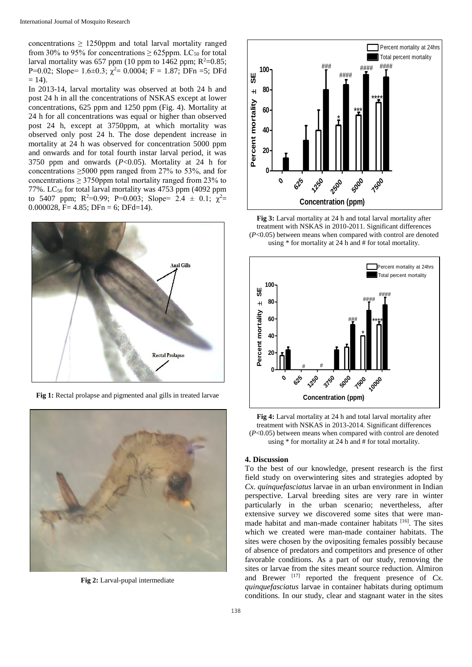concentrations  $\geq$  1250ppm and total larval mortality ranged from 30% to 95% for concentrations  $\geq$  625ppm. LC<sub>50</sub> for total larval mortality was 657 ppm (10 ppm to 1462 ppm;  $R^2=0.85$ ; P=0.02; Slope= 1.6±0.3;  $\chi^2$ = 0.0004; F = 1.87; DFn =5; DFd  $= 14$ ).

In 2013-14, larval mortality was observed at both 24 h and post 24 h in all the concentrations of NSKAS except at lower concentrations, 625 ppm and 1250 ppm (Fig. 4). Mortality at 24 h for all concentrations was equal or higher than observed post 24 h, except at 3750ppm, at which mortality was observed only post 24 h. The dose dependent increase in mortality at 24 h was observed for concentration 5000 ppm and onwards and for total fourth instar larval period, it was 3750 ppm and onwards (*P*<0.05). Mortality at 24 h for concentrations ≥5000 ppm ranged from 27% to 53%, and for concentrations  $\geq$  3750ppm total mortality ranged from 23% to 77%. LC<sub>50</sub> for total larval mortality was 4753 ppm (4092 ppm to 5407 ppm;  $R^2=0.99$ ;  $P=0.003$ ; Slope= 2.4  $\pm$  0.1;  $\chi^2=$ 0.000028, F= 4.85; DFn = 6; DFd=14).



**Fig 1:** Rectal prolapse and pigmented anal gills in treated larvae



**Fig 2:** Larval-pupal intermediate



**Fig 3:** Larval mortality at 24 h and total larval mortality after treatment with NSKAS in 2010-2011. Significant differences (*P*<0.05) between means when compared with control are denoted using \* for mortality at 24 h and # for total mortality.



**Fig 4:** Larval mortality at 24 h and total larval mortality after treatment with NSKAS in 2013-2014. Significant differences (*P*<0.05) between means when compared with control are denoted using \* for mortality at 24 h and # for total mortality.

#### **4. Discussion**

To the best of our knowledge, present research is the first field study on overwintering sites and strategies adopted by *Cx. quinquefasciatus* larvae in an urban environment in Indian perspective. Larval breeding sites are very rare in winter particularly in the urban scenario; nevertheless, after extensive survey we discovered some sites that were manmade habitat and man-made container habitats [16]. The sites which we created were man-made container habitats. The sites were chosen by the ovipositing females possibly because of absence of predators and competitors and presence of other favorable conditions. As a part of our study, removing the sites or larvae from the sites meant source reduction. Almiron and Brewer<sup> $[17]$ </sup> reported the frequent presence of *Cx*. *quinquefasciatus* larvae in container habitats during optimum conditions. In our study, clear and stagnant water in the sites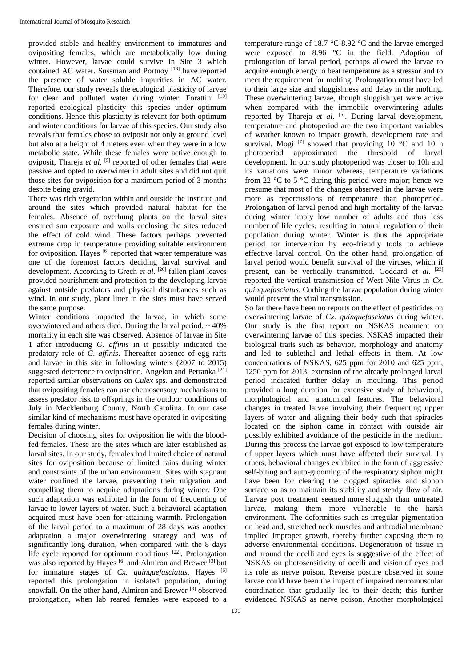provided stable and healthy environment to immatures and ovipositing females, which are metabolically low during winter. However, larvae could survive in Site 3 which contained AC water. Sussman and Portnoy [18] have reported the presence of water soluble impurities in AC water. Therefore, our study reveals the ecological plasticity of larvae for clear and polluted water during winter. Forattini [19] reported ecological plasticity this species under optimum conditions. Hence this plasticity is relevant for both optimum and winter conditions for larvae of this species. Our study also reveals that females chose to oviposit not only at ground level but also at a height of 4 meters even when they were in a low metabolic state. While these females were active enough to oviposit, Thareja *et al.* <sup>[5]</sup> reported of other females that were passive and opted to overwinter in adult sites and did not quit those sites for oviposition for a maximum period of 3 months despite being gravid.

There was rich vegetation within and outside the institute and around the sites which provided natural habitat for the females. Absence of overhung plants on the larval sites ensured sun exposure and walls enclosing the sites reduced the effect of cold wind. These factors perhaps prevented extreme drop in temperature providing suitable environment for oviposition. Hayes <sup>[6]</sup> reported that water temperature was one of the foremost factors deciding larval survival and development. According to Grech *et al.* <sup>[20]</sup> fallen plant leaves provided nourishment and protection to the developing larvae against outside predators and physical disturbances such as wind. In our study, plant litter in the sites must have served the same purpose.

Winter conditions impacted the larvae, in which some overwintered and others died. During the larval period,  $\sim$  40% mortality in each site was observed. Absence of larvae in Site 1 after introducing *G. affinis* in it possibly indicated the predatory role of *G. affinis*. Thereafter absence of egg rafts and larvae in this site in following winters (2007 to 2015) suggested deterrence to oviposition. Angelon and Petranka<sup>[21]</sup> reported similar observations on *Culex* sps. and demonstrated that ovipositing females can use chemosensory mechanisms to assess predator risk to offsprings in the outdoor conditions of July in Mecklenburg County, North Carolina. In our case similar kind of mechanisms must have operated in ovipositing females during winter.

Decision of choosing sites for oviposition lie with the bloodfed females. These are the sites which are later established as larval sites. In our study, females had limited choice of natural sites for oviposition because of limited rains during winter and constraints of the urban environment. Sites with stagnant water confined the larvae, preventing their migration and compelling them to acquire adaptations during winter. One such adaptation was exhibited in the form of frequenting of larvae to lower layers of water. Such a behavioral adaptation acquired must have been for attaining warmth. Prolongation of the larval period to a maximum of 28 days was another adaptation a major overwintering strategy and was of significantly long duration, when compared with the 8 days life cycle reported for optimum conditions [22]. Prolongation was also reported by Hayes <sup>[6]</sup> and Almiron and Brewer <sup>[3]</sup> but for immature stages of *Cx. quinquefasciatus*. Hayes [6] reported this prolongation in isolated population, during snowfall. On the other hand, Almiron and Brewer [3] observed prolongation, when lab reared females were exposed to a

were exposed to 8.96 °C in the field. Adoption of prolongation of larval period, perhaps allowed the larvae to acquire enough energy to beat temperature as a stressor and to meet the requirement for molting. Prolongation must have led to their large size and sluggishness and delay in the molting. These overwintering larvae, though sluggish yet were active when compared with the immobile overwintering adults reported by Thareja et al. <sup>[5]</sup>. During larval development, temperature and photoperiod are the two important variables of weather known to impact growth, development rate and survival. Mogi  $^{[7]}$  showed that providing 10 °C and 10 h photoperiod approximated the threshold of larval development. In our study photoperiod was closer to 10h and its variations were minor whereas, temperature variations from 22  $\degree$ C to 5  $\degree$ C during this period were major; hence we presume that most of the changes observed in the larvae were more as repercussions of temperature than photoperiod. Prolongation of larval period and high mortality of the larvae during winter imply low number of adults and thus less number of life cycles, resulting in natural regulation of their population during winter. Winter is thus the appropriate period for intervention by eco-friendly tools to achieve effective larval control. On the other hand, prolongation of larval period would benefit survival of the viruses, which if present, can be vertically transmitted. Goddard *et al.* [23] reported the vertical transmission of West Nile Virus in *Cx. quinquefasciatus*. Curbing the larvae population during winter would prevent the viral transmission.

temperature range of 18.7 °C-8.92 °C and the larvae emerged

So far there have been no reports on the effect of pesticides on overwintering larvae of *Cx. quinquefasciatus* during winter. Our study is the first report on NSKAS treatment on overwintering larvae of this species. NSKAS impacted their biological traits such as behavior, morphology and anatomy and led to sublethal and lethal effects in them. At low concentrations of NSKAS, 625 ppm for 2010 and 625 ppm, 1250 ppm for 2013, extension of the already prolonged larval period indicated further delay in moulting. This period provided a long duration for extensive study of behavioral, morphological and anatomical features. The behavioral changes in treated larvae involving their frequenting upper layers of water and aligning their body such that spiracles located on the siphon came in contact with outside air possibly exhibited avoidance of the pesticide in the medium. During this process the larvae got exposed to low temperature of upper layers which must have affected their survival. In others, behavioral changes exhibited in the form of aggressive self-biting and auto-grooming of the respiratory siphon might have been for clearing the clogged spiracles and siphon surface so as to maintain its stability and steady flow of air. Larvae post treatment seemed more sluggish than untreated larvae, making them more vulnerable to the harsh environment. The deformities such as irregular pigmentation on head and, stretched neck muscles and arthrodial membrane implied improper growth, thereby further exposing them to adverse environmental conditions. Degeneration of tissue in and around the ocelli and eyes is suggestive of the effect of NSKAS on photosensitivity of ocelli and vision of eyes and its role as nerve poison. Reverse posture observed in some larvae could have been the impact of impaired neuromuscular coordination that gradually led to their death; this further evidenced NSKAS as nerve poison. Another morphological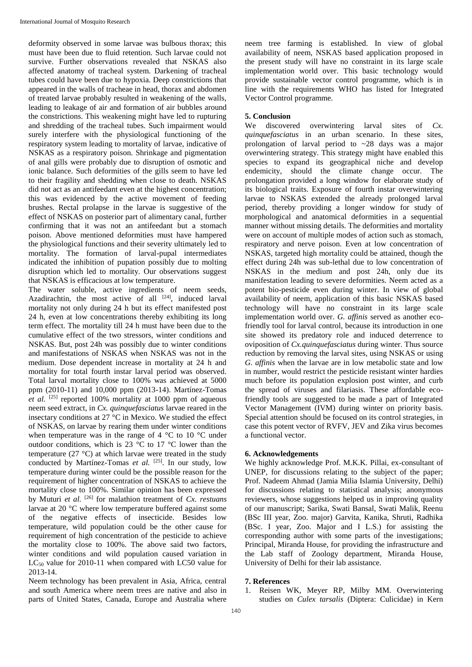deformity observed in some larvae was bulbous thorax; this must have been due to fluid retention. Such larvae could not survive. Further observations revealed that NSKAS also affected anatomy of tracheal system. Darkening of tracheal tubes could have been due to hypoxia. Deep constrictions that appeared in the walls of tracheae in head, thorax and abdomen of treated larvae probably resulted in weakening of the walls, leading to leakage of air and formation of air bubbles around the constrictions. This weakening might have led to rupturing and shredding of the tracheal tubes. Such impairment would surely interfere with the physiological functioning of the respiratory system leading to mortality of larvae, indicative of NSKAS as a respiratory poison. Shrinkage and pigmentation of anal gills were probably due to disruption of osmotic and ionic balance. Such deformities of the gills seem to have led to their fragility and shedding when close to death. NSKAS did not act as an antifeedant even at the highest concentration; this was evidenced by the active movement of feeding brushes. Rectal prolapse in the larvae is suggestive of the effect of NSKAS on posterior part of alimentary canal, further confirming that it was not an antifeedant but a stomach poison. Above mentioned deformities must have hampered the physiological functions and their severity ultimately led to mortality. The formation of larval-pupal intermediates indicated the inhibition of pupation possibly due to molting disruption which led to mortality. Our observations suggest that NSKAS is efficacious at low temperature.

The water soluble, active ingredients of neem seeds, Azadirachtin, the most active of all  $[24]$ , induced larval mortality not only during 24 h but its effect manifested post 24 h, even at low concentrations thereby exhibiting its long term effect. The mortality till 24 h must have been due to the cumulative effect of the two stressors, winter conditions and NSKAS. But, post 24h was possibly due to winter conditions and manifestations of NSKAS when NSKAS was not in the medium. Dose dependent increase in mortality at 24 h and mortality for total fourth instar larval period was observed. Total larval mortality close to 100% was achieved at 5000 ppm (2010-11) and 10,000 ppm (2013-14). Martínez-Tomas *et al.* [25] reported 100% mortality at 1000 ppm of aqueous neem seed extract, in *Cx. quinquefasciatus* larvae reared in the insectary conditions at 27 °C in Mexico. We studied the effect of NSKAS, on larvae by rearing them under winter conditions when temperature was in the range of 4  $^{\circ}$ C to 10  $^{\circ}$ C under outdoor conditions, which is 23 °C to 17 °C lower than the temperature (27 °C) at which larvae were treated in the study conducted by Martínez-Tomas et al. <sup>[25]</sup>. In our study, low temperature during winter could be the possible reason for the requirement of higher concentration of NSKAS to achieve the mortality close to 100%. Similar opinion has been expressed by Muturi *et al.* [26] for malathion treatment of *Cx. restuans* larvae at 20 °C where low temperature buffered against some of the negative effects of insecticide. Besides low temperature, wild population could be the other cause for requirement of high concentration of the pesticide to achieve the mortality close to 100%. The above said two factors, winter conditions and wild population caused variation in LC<sub>50</sub> value for 2010-11 when compared with LC50 value for 2013-14.

Neem technology has been prevalent in Asia, Africa, central and south America where neem trees are native and also in parts of United States, Canada, Europe and Australia where

neem tree farming is established. In view of global availability of neem, NSKAS based application proposed in the present study will have no constraint in its large scale implementation world over. This basic technology would provide sustainable vector control programme, which is in line with the requirements WHO has listed for Integrated Vector Control programme.

## **5. Conclusion**

We discovered overwintering larval sites of *Cx. quinquefasciatus* in an urban scenario. In these sites, prolongation of larval period to ~28 days was a major overwintering strategy. This strategy might have enabled this species to expand its geographical niche and develop endemicity, should the climate change occur. The prolongation provided a long window for elaborate study of its biological traits. Exposure of fourth instar overwintering larvae to NSKAS extended the already prolonged larval period, thereby providing a longer window for study of morphological and anatomical deformities in a sequential manner without missing details. The deformities and mortality were on account of multiple modes of action such as stomach, respiratory and nerve poison. Even at low concentration of NSKAS, targeted high mortality could be attained, though the effect during 24h was sub-lethal due to low concentration of NSKAS in the medium and post 24h, only due its manifestation leading to severe deformities. Neem acted as a potent bio-pesticide even during winter. In view of global availability of neem, application of this basic NSKAS based technology will have no constraint in its large scale implementation world over. *G. affinis* served as another ecofriendly tool for larval control, because its introduction in one site showed its predatory role and induced deterrence to oviposition of *Cx.quinquefasciatus* during winter. Thus source reduction by removing the larval sites, using NSKAS or using *G. affinis* when the larvae are in low metabolic state and low in number, would restrict the pesticide resistant winter hardies much before its population explosion post winter, and curb the spread of viruses and filariasis. These affordable ecofriendly tools are suggested to be made a part of Integrated Vector Management (IVM) during winter on priority basis. Special attention should be focused on its control strategies, in case this potent vector of RVFV, JEV and Zika virus becomes a functional vector.

### **6. Acknowledgements**

We highly acknowledge Prof. M.K.K. Pillai, ex-consultant of UNEP, for discussions relating to the subject of the paper; Prof. Nadeem Ahmad (Jamia Milia Islamia University, Delhi) for discussions relating to statistical analysis; anonymous reviewers, whose suggestions helped us in improving quality of our manuscript; Sarika, Swati Bansal, Swati Malik, Reenu (BSc III year, Zoo. major) Garvita, Kanika, Shruti, Radhika (BSc. I year, Zoo. Major and I L.S.) for assisting the corresponding author with some parts of the investigations; Principal, Miranda House, for providing the infrastructure and the Lab staff of Zoology department, Miranda House, University of Delhi for their lab assistance.

### **7. References**

1. Reisen WK, Meyer RP, Milby MM. Overwintering studies on *Culex tarsalis* (Diptera: Culicidae) in Kern